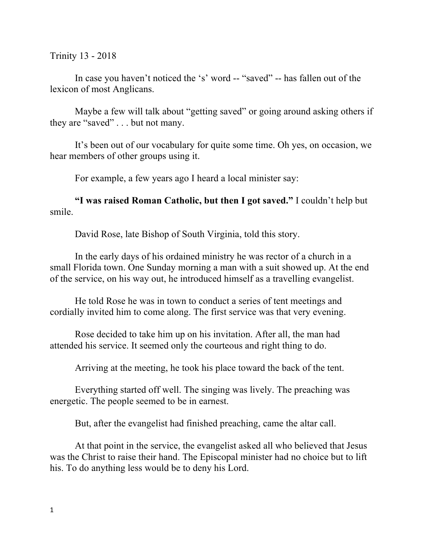Trinity 13 - 2018

In case you haven't noticed the 's' word -- "saved" -- has fallen out of the lexicon of most Anglicans.

Maybe a few will talk about "getting saved" or going around asking others if they are "saved" . . . but not many.

It's been out of our vocabulary for quite some time. Oh yes, on occasion, we hear members of other groups using it.

For example, a few years ago I heard a local minister say:

**"I was raised Roman Catholic, but then I got saved."** I couldn't help but smile.

David Rose, late Bishop of South Virginia, told this story.

In the early days of his ordained ministry he was rector of a church in a small Florida town. One Sunday morning a man with a suit showed up. At the end of the service, on his way out, he introduced himself as a travelling evangelist.

He told Rose he was in town to conduct a series of tent meetings and cordially invited him to come along. The first service was that very evening.

Rose decided to take him up on his invitation. After all, the man had attended his service. It seemed only the courteous and right thing to do.

Arriving at the meeting, he took his place toward the back of the tent.

Everything started off well. The singing was lively. The preaching was energetic. The people seemed to be in earnest.

But, after the evangelist had finished preaching, came the altar call.

At that point in the service, the evangelist asked all who believed that Jesus was the Christ to raise their hand. The Episcopal minister had no choice but to lift his. To do anything less would be to deny his Lord.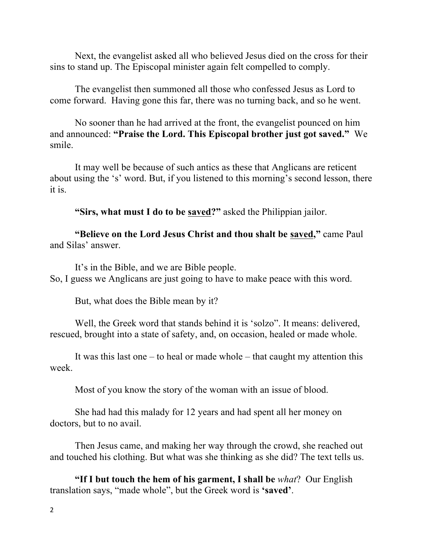Next, the evangelist asked all who believed Jesus died on the cross for their sins to stand up. The Episcopal minister again felt compelled to comply.

The evangelist then summoned all those who confessed Jesus as Lord to come forward. Having gone this far, there was no turning back, and so he went.

No sooner than he had arrived at the front, the evangelist pounced on him and announced: **"Praise the Lord. This Episcopal brother just got saved."** We smile.

It may well be because of such antics as these that Anglicans are reticent about using the 's' word. But, if you listened to this morning's second lesson, there it is.

**"Sirs, what must I do to be saved?"** asked the Philippian jailor.

**"Believe on the Lord Jesus Christ and thou shalt be saved, "** came Paul and Silas' answer.

It's in the Bible, and we are Bible people. So, I guess we Anglicans are just going to have to make peace with this word.

But, what does the Bible mean by it?

Well, the Greek word that stands behind it is 'solzo". It means: delivered, rescued, brought into a state of safety, and, on occasion, healed or made whole.

It was this last one – to heal or made whole – that caught my attention this week.

Most of you know the story of the woman with an issue of blood.

She had had this malady for 12 years and had spent all her money on doctors, but to no avail.

Then Jesus came, and making her way through the crowd, she reached out and touched his clothing. But what was she thinking as she did? The text tells us.

**"If I but touch the hem of his garment, I shall be** *what*? Our English translation says, "made whole", but the Greek word is **'saved'**.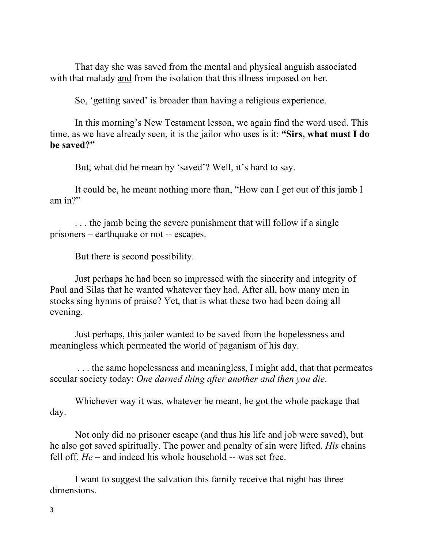That day she was saved from the mental and physical anguish associated with that malady and from the isolation that this illness imposed on her.

So, 'getting saved' is broader than having a religious experience.

In this morning's New Testament lesson, we again find the word used. This time, as we have already seen, it is the jailor who uses is it: **"Sirs, what must I do be saved?"**

But, what did he mean by 'saved'? Well, it's hard to say.

It could be, he meant nothing more than, "How can I get out of this jamb I am in?"

. . . the jamb being the severe punishment that will follow if a single prisoners – earthquake or not -- escapes.

But there is second possibility.

Just perhaps he had been so impressed with the sincerity and integrity of Paul and Silas that he wanted whatever they had. After all, how many men in stocks sing hymns of praise? Yet, that is what these two had been doing all evening.

Just perhaps, this jailer wanted to be saved from the hopelessness and meaningless which permeated the world of paganism of his day.

. . . the same hopelessness and meaningless, I might add, that that permeates secular society today: *One darned thing after another and then you die*.

Whichever way it was, whatever he meant, he got the whole package that day.

Not only did no prisoner escape (and thus his life and job were saved), but he also got saved spiritually. The power and penalty of sin were lifted. *His* chains fell off. *He* – and indeed his whole household -- was set free.

I want to suggest the salvation this family receive that night has three dimensions.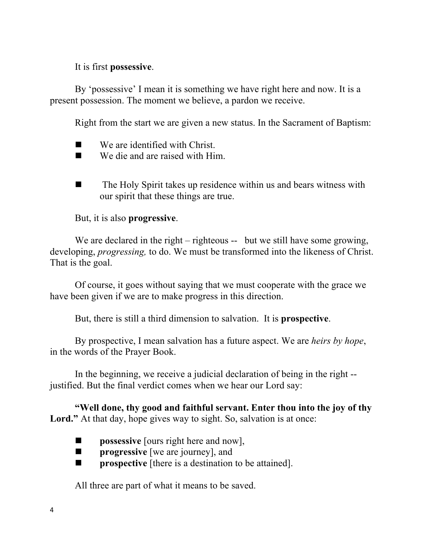It is first **possessive**.

By 'possessive' I mean it is something we have right here and now. It is a present possession. The moment we believe, a pardon we receive.

Right from the start we are given a new status. In the Sacrament of Baptism:

- We are identified with Christ.
- $\blacksquare$  We die and are raised with Him.
- $\blacksquare$  The Holy Spirit takes up residence within us and bears witness with our spirit that these things are true.

But, it is also **progressive**.

We are declared in the right – righteous -- but we still have some growing, developing, *progressing,* to do. We must be transformed into the likeness of Christ. That is the goal.

Of course, it goes without saying that we must cooperate with the grace we have been given if we are to make progress in this direction.

But, there is still a third dimension to salvation. It is **prospective**.

By prospective, I mean salvation has a future aspect. We are *heirs by hope*, in the words of the Prayer Book.

In the beginning, we receive a judicial declaration of being in the right - justified. But the final verdict comes when we hear our Lord say:

**"Well done, thy good and faithful servant. Enter thou into the joy of thy**  Lord." At that day, hope gives way to sight. So, salvation is at once:

- **n possessive** [ours right here and now],
- **n progressive** [we are journey], and
- **n is prospective** [there is a destination to be attained].

All three are part of what it means to be saved.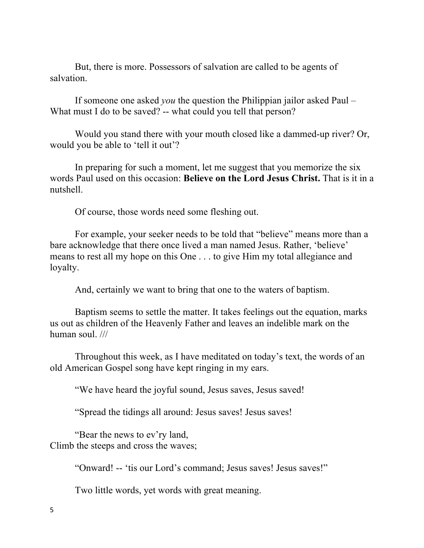But, there is more. Possessors of salvation are called to be agents of salvation.

If someone one asked *you* the question the Philippian jailor asked Paul – What must I do to be saved? -- what could you tell that person?

Would you stand there with your mouth closed like a dammed-up river? Or, would you be able to 'tell it out'?

In preparing for such a moment, let me suggest that you memorize the six words Paul used on this occasion: **Believe on the Lord Jesus Christ.** That is it in a nutshell.

Of course, those words need some fleshing out.

For example, your seeker needs to be told that "believe" means more than a bare acknowledge that there once lived a man named Jesus. Rather, 'believe' means to rest all my hope on this One . . . to give Him my total allegiance and loyalty.

And, certainly we want to bring that one to the waters of baptism.

Baptism seems to settle the matter. It takes feelings out the equation, marks us out as children of the Heavenly Father and leaves an indelible mark on the human soul. ///

Throughout this week, as I have meditated on today's text, the words of an old American Gospel song have kept ringing in my ears.

"We have heard the joyful sound, Jesus saves, Jesus saved!

"Spread the tidings all around: Jesus saves! Jesus saves!

"Bear the news to ev'ry land, Climb the steeps and cross the waves;

"Onward! -- 'tis our Lord's command; Jesus saves! Jesus saves!"

Two little words, yet words with great meaning.